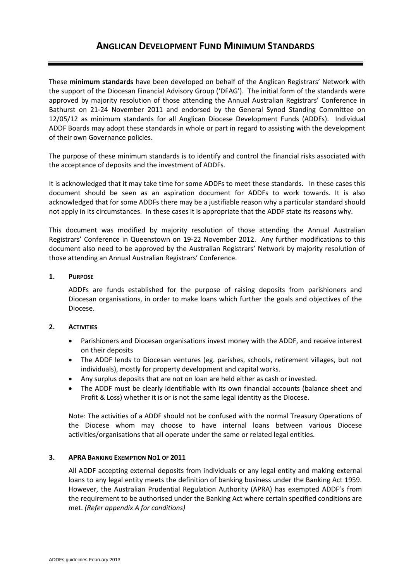These **minimum standards** have been developed on behalf of the Anglican Registrars' Network with the support of the Diocesan Financial Advisory Group ('DFAG'). The initial form of the standards were approved by majority resolution of those attending the Annual Australian Registrars' Conference in Bathurst on 21-24 November 2011 and endorsed by the General Synod Standing Committee on 12/05/12 as minimum standards for all Anglican Diocese Development Funds (ADDFs). Individual ADDF Boards may adopt these standards in whole or part in regard to assisting with the development of their own Governance policies.

The purpose of these minimum standards is to identify and control the financial risks associated with the acceptance of deposits and the investment of ADDFs.

It is acknowledged that it may take time for some ADDFs to meet these standards. In these cases this document should be seen as an aspiration document for ADDFs to work towards. It is also acknowledged that for some ADDFs there may be a justifiable reason why a particular standard should not apply in its circumstances. In these cases it is appropriate that the ADDF state its reasons why.

This document was modified by majority resolution of those attending the Annual Australian Registrars' Conference in Queenstown on 19-22 November 2012. Any further modifications to this document also need to be approved by the Australian Registrars' Network by majority resolution of those attending an Annual Australian Registrars' Conference.

# **1. PURPOSE**

ADDFs are funds established for the purpose of raising deposits from parishioners and Diocesan organisations, in order to make loans which further the goals and objectives of the Diocese.

# **2. ACTIVITIES**

- Parishioners and Diocesan organisations invest money with the ADDF, and receive interest on their deposits
- The ADDF lends to Diocesan ventures (eg. parishes, schools, retirement villages, but not individuals), mostly for property development and capital works.
- Any surplus deposits that are not on loan are held either as cash or invested.
- The ADDF must be clearly identifiable with its own financial accounts (balance sheet and Profit & Loss) whether it is or is not the same legal identity as the Diocese.

Note: The activities of a ADDF should not be confused with the normal Treasury Operations of the Diocese whom may choose to have internal loans between various Diocese activities/organisations that all operate under the same or related legal entities.

# **3. APRA BANKING EXEMPTION NO1 OF 2011**

All ADDF accepting external deposits from individuals or any legal entity and making external loans to any legal entity meets the definition of banking business under the Banking Act 1959. However, the Australian Prudential Regulation Authority (APRA) has exempted ADDF's from the requirement to be authorised under the Banking Act where certain specified conditions are met. *(Refer appendix A for conditions)*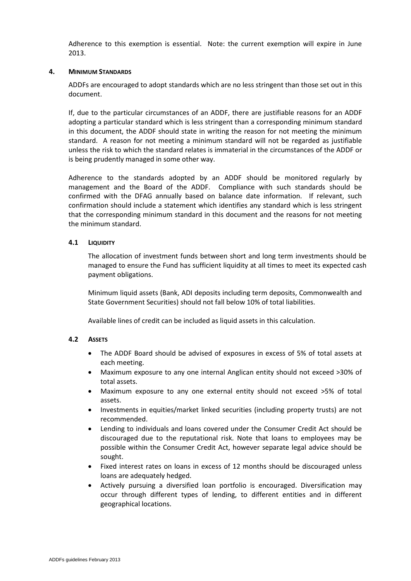Adherence to this exemption is essential. Note: the current exemption will expire in June 2013.

### **4. MINIMUM STANDARDS**

ADDFs are encouraged to adopt standards which are no less stringent than those set out in this document.

If, due to the particular circumstances of an ADDF, there are justifiable reasons for an ADDF adopting a particular standard which is less stringent than a corresponding minimum standard in this document, the ADDF should state in writing the reason for not meeting the minimum standard. A reason for not meeting a minimum standard will not be regarded as justifiable unless the risk to which the standard relates is immaterial in the circumstances of the ADDF or is being prudently managed in some other way.

Adherence to the standards adopted by an ADDF should be monitored regularly by management and the Board of the ADDF. Compliance with such standards should be confirmed with the DFAG annually based on balance date information. If relevant, such confirmation should include a statement which identifies any standard which is less stringent that the corresponding minimum standard in this document and the reasons for not meeting the minimum standard.

# **4.1 LIQUIDITY**

The allocation of investment funds between short and long term investments should be managed to ensure the Fund has sufficient liquidity at all times to meet its expected cash payment obligations.

Minimum liquid assets (Bank, ADI deposits including term deposits, Commonwealth and State Government Securities) should not fall below 10% of total liabilities.

Available lines of credit can be included as liquid assets in this calculation.

#### **4.2 ASSETS**

- The ADDF Board should be advised of exposures in excess of 5% of total assets at each meeting.
- Maximum exposure to any one internal Anglican entity should not exceed >30% of total assets.
- Maximum exposure to any one external entity should not exceed >5% of total assets.
- Investments in equities/market linked securities (including property trusts) are not recommended.
- Lending to individuals and loans covered under the Consumer Credit Act should be discouraged due to the reputational risk. Note that loans to employees may be possible within the Consumer Credit Act, however separate legal advice should be sought.
- Fixed interest rates on loans in excess of 12 months should be discouraged unless loans are adequately hedged.
- Actively pursuing a diversified loan portfolio is encouraged. Diversification may occur through different types of lending, to different entities and in different geographical locations.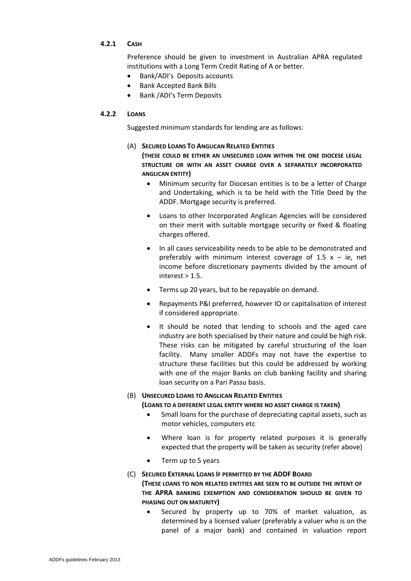# **4.2.1 CASH**

Preference should be given to investment in Australian APRA regulated institutions with a Long Term Credit Rating of A or better.

- Bank/ADI's Deposits accounts
- Bank Accepted Bank Bills
- Bank /ADI's Term Deposits

# **4.2.2 LOANS**

Suggested minimum standards for lending are as follows:

# (A) **SECURED LOANS TO ANGLICAN RELATED ENTITIES**

**(THESE COULD BE EITHER AN UNSECURED LOAN WITHIN THE ONE DIOCESE LEGAL STRUCTURE OR WITH AN ASSET CHARGE OVER A SEPARATELY INCORPORATED ANGLICAN ENTITY)**

- Minimum security for Diocesan entities is to be a letter of Charge and Undertaking, which is to be held with the Title Deed by the ADDF. Mortgage security is preferred.
- Loans to other Incorporated Anglican Agencies will be considered on their merit with suitable mortgage security or fixed & floating charges offered.
- In all cases serviceability needs to be able to be demonstrated and preferably with minimum interest coverage of 1.5  $x - ie$ , net income before discretionary payments divided by the amount of  $interest > 1.5.$
- Terms up 20 years, but to be repayable on demand.
- Repayments P&I preferred, however IO or capitalisation of interest if considered appropriate.
- It should be noted that lending to schools and the aged care industry are both specialised by their nature and could be high risk. These risks can be mitigated by careful structuring of the loan facility. Many smaller ADDFs may not have the expertise to structure these facilities but this could be addressed by working with one of the major Banks on club banking facility and sharing loan security on a Pari Passu basis.

# (B) **UNSECURED LOANS TO ANGLICAN RELATED ENTITIES**

# **(LOANS TO A DIFFERENT LEGAL ENTITY WHERE NO ASSET CHARGE IS TAKEN)**

- Small loans for the purchase of depreciating capital assets, such as motor vehicles, computers etc
- Where loan is for property related purposes it is generally expected that the property will be taken as security (refer above)
- Term up to 5 years

# (C) **SECURED EXTERNAL LOANS IF PERMITTED BY THE ADDF BOARD**

# **(THESE LOANS TO NON RELATED ENTITIES ARE SEEN TO BE OUTSIDE THE INTENT OF THE APRA BANKING EXEMPTION AND CONSIDERATION SHOULD BE GIVEN TO PHASING OUT ON MATURITY)**

 Secured by property up to 70% of market valuation, as determined by a licensed valuer (preferably a valuer who is on the panel of a major bank) and contained in valuation report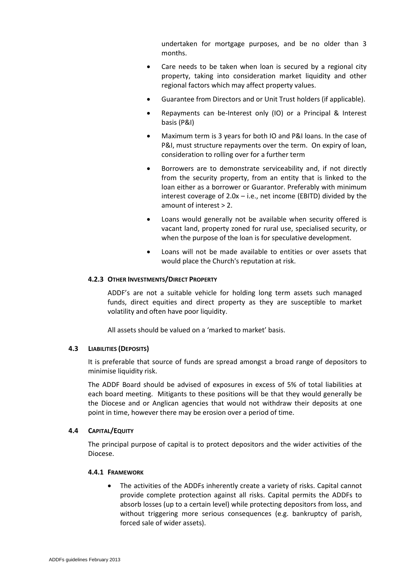undertaken for mortgage purposes, and be no older than 3 months.

- Care needs to be taken when loan is secured by a regional city property, taking into consideration market liquidity and other regional factors which may affect property values.
- Guarantee from Directors and or Unit Trust holders (if applicable).
- Repayments can be-Interest only (IO) or a Principal & Interest basis (P&I)
- Maximum term is 3 years for both IO and P&I loans. In the case of P&I, must structure repayments over the term. On expiry of loan, consideration to rolling over for a further term
- Borrowers are to demonstrate serviceability and, if not directly from the security property, from an entity that is linked to the loan either as a borrower or Guarantor. Preferably with minimum interest coverage of  $2.0x - i.e.,$  net income (EBITD) divided by the amount of interest > 2.
- Loans would generally not be available when security offered is vacant land, property zoned for rural use, specialised security, or when the purpose of the loan is for speculative development.
- Loans will not be made available to entities or over assets that would place the Church's reputation at risk.

#### **4.2.3 OTHER INVESTMENTS/DIRECT PROPERTY**

ADDF's are not a suitable vehicle for holding long term assets such managed funds, direct equities and direct property as they are susceptible to market volatility and often have poor liquidity.

All assets should be valued on a 'marked to market' basis.

#### **4.3 LIABILITIES (DEPOSITS)**

It is preferable that source of funds are spread amongst a broad range of depositors to minimise liquidity risk.

The ADDF Board should be advised of exposures in excess of 5% of total liabilities at each board meeting. Mitigants to these positions will be that they would generally be the Diocese and or Anglican agencies that would not withdraw their deposits at one point in time, however there may be erosion over a period of time.

#### **4.4 CAPITAL/EQUITY**

The principal purpose of capital is to protect depositors and the wider activities of the Diocese.

#### **4.4.1 FRAMEWORK**

 The activities of the ADDFs inherently create a variety of risks. Capital cannot provide complete protection against all risks. Capital permits the ADDFs to absorb losses (up to a certain level) while protecting depositors from loss, and without triggering more serious consequences (e.g. bankruptcy of parish, forced sale of wider assets).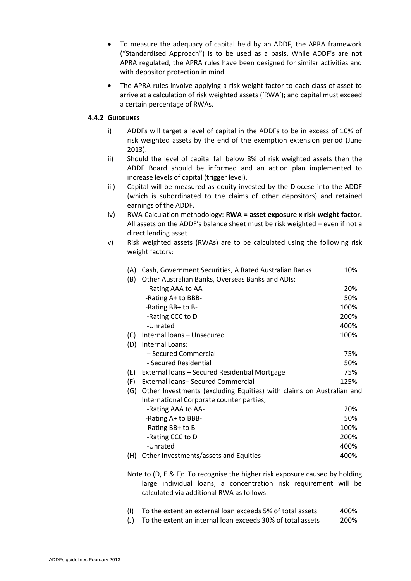- To measure the adequacy of capital held by an ADDF, the APRA framework ("Standardised Approach") is to be used as a basis. While ADDF's are not APRA regulated, the APRA rules have been designed for similar activities and with depositor protection in mind
- The APRA rules involve applying a risk weight factor to each class of asset to arrive at a calculation of risk weighted assets ('RWA'); and capital must exceed a certain percentage of RWAs.

# **4.4.2 GUIDELINES**

- i) ADDFs will target a level of capital in the ADDFs to be in excess of 10% of risk weighted assets by the end of the exemption extension period (June 2013).
- ii) Should the level of capital fall below 8% of risk weighted assets then the ADDF Board should be informed and an action plan implemented to increase levels of capital (trigger level).
- iii) Capital will be measured as equity invested by the Diocese into the ADDF (which is subordinated to the claims of other depositors) and retained earnings of the ADDF.
- iv) RWA Calculation methodology: **RWA = asset exposure x risk weight factor.**  All assets on the ADDF's balance sheet must be risk weighted – even if not a direct lending asset
- v) Risk weighted assets (RWAs) are to be calculated using the following risk weight factors:

| (A)                                                                              | Cash, Government Securities, A Rated Australian Banks                | 10%  |
|----------------------------------------------------------------------------------|----------------------------------------------------------------------|------|
| (B)                                                                              | Other Australian Banks, Overseas Banks and ADIs:                     |      |
|                                                                                  | -Rating AAA to AA-                                                   | 20%  |
|                                                                                  | -Rating A+ to BBB-                                                   | 50%  |
|                                                                                  | -Rating BB+ to B-                                                    | 100% |
|                                                                                  | -Rating CCC to D                                                     | 200% |
|                                                                                  | -Unrated                                                             | 400% |
|                                                                                  | Internal loans - Unsecured                                           | 100% |
| (C)                                                                              | Internal Loans:                                                      |      |
| (D)                                                                              |                                                                      | 75%  |
|                                                                                  | - Secured Commercial                                                 |      |
|                                                                                  | - Secured Residential                                                | 50%  |
| (E)                                                                              | External loans - Secured Residential Mortgage                        | 75%  |
| (F)                                                                              | External Ioans-Secured Commercial                                    | 125% |
| (G)                                                                              | Other Investments (excluding Equities) with claims on Australian and |      |
|                                                                                  | International Corporate counter parties;                             |      |
|                                                                                  | -Rating AAA to AA-                                                   | 20%  |
|                                                                                  | -Rating A+ to BBB-                                                   | 50%  |
|                                                                                  | -Rating BB+ to B-                                                    | 100% |
|                                                                                  | -Rating CCC to D                                                     | 200% |
|                                                                                  | -Unrated                                                             | 400% |
| (H)                                                                              | Other Investments/assets and Equities                                | 400% |
|                                                                                  |                                                                      |      |
| Note to $(D, F, \& F)$ : To recognise the higher risk exposure caused by holding |                                                                      |      |

- etognise the h large individual loans, a concentration risk requirement will be calculated via additional RWA as follows:
- (I) To the extent an external loan exceeds 5% of total assets 400%
- (J) To the extent an internal loan exceeds 30% of total assets 200%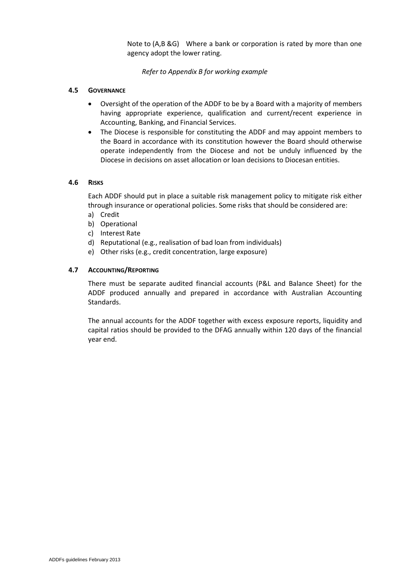Note to (A,B &G) Where a bank or corporation is rated by more than one agency adopt the lower rating.

# *Refer to Appendix B for working example*

# **4.5 GOVERNANCE**

- Oversight of the operation of the ADDF to be by a Board with a majority of members having appropriate experience, qualification and current/recent experience in Accounting, Banking, and Financial Services.
- The Diocese is responsible for constituting the ADDF and may appoint members to the Board in accordance with its constitution however the Board should otherwise operate independently from the Diocese and not be unduly influenced by the Diocese in decisions on asset allocation or loan decisions to Diocesan entities.

# **4.6 RISKS**

Each ADDF should put in place a suitable risk management policy to mitigate risk either through insurance or operational policies. Some risks that should be considered are:

- a) Credit
- b) Operational
- c) Interest Rate
- d) Reputational (e.g., realisation of bad loan from individuals)
- e) Other risks (e.g., credit concentration, large exposure)

# **4.7 ACCOUNTING/REPORTING**

There must be separate audited financial accounts (P&L and Balance Sheet) for the ADDF produced annually and prepared in accordance with Australian Accounting Standards.

The annual accounts for the ADDF together with excess exposure reports, liquidity and capital ratios should be provided to the DFAG annually within 120 days of the financial year end.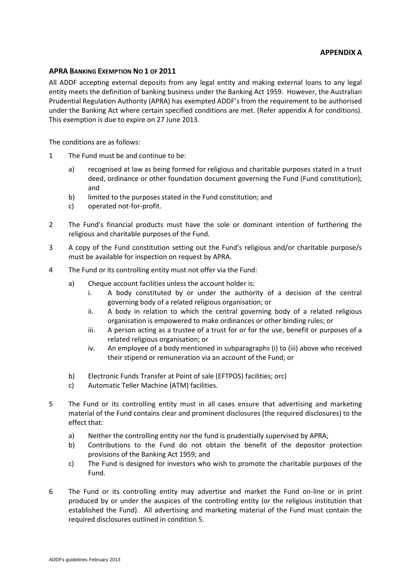# **APPENDIX A**

### **APRA BANKING EXEMPTION NO 1 OF 2011**

All ADDF accepting external deposits from any legal entity and making external loans to any legal entity meets the definition of banking business under the Banking Act 1959. However, the Australian Prudential Regulation Authority (APRA) has exempted ADDF's from the requirement to be authorised under the Banking Act where certain specified conditions are met. (Refer appendix A for conditions). This exemption is due to expire on 27 June 2013.

The conditions are as follows:

- 1 The Fund must be and continue to be:
	- a) recognised at law as being formed for religious and charitable purposes stated in a trust deed, ordinance or other foundation document governing the Fund (Fund constitution); and
	- b) limited to the purposes stated in the Fund constitution; and
	- c) operated not-for-profit.
- 2 The Fund's financial products must have the sole or dominant intention of furthering the religious and charitable purposes of the Fund.
- 3 A copy of the Fund constitution setting out the Fund's religious and/or charitable purpose/s must be available for inspection on request by APRA.
- 4 The Fund or its controlling entity must not offer via the Fund:
	- a) Cheque account facilities unless the account holder is:
		- i. A body constituted by or under the authority of a decision of the central governing body of a related religious organisation; or
		- ii. A body in relation to which the central governing body of a related religious organisation is empowered to make ordinances or other binding rules; or
		- iii. A person acting as a trustee of a trust for or for the use, benefit or purposes of a related religious organisation; or
		- iv. An employee of a body mentioned in subparagraphs (i) to (iii) above who received their stipend or remuneration via an account of the Fund; or
	- b) Electronic Funds Transfer at Point of sale (EFTPOS) facilities; orc)
	- c) Automatic Teller Machine (ATM) facilities.
- 5 The Fund or its controlling entity must in all cases ensure that advertising and marketing material of the Fund contains clear and prominent disclosures (the required disclosures) to the effect that:
	- a) Neither the controlling entity nor the fund is prudentially supervised by APRA;
	- b) Contributions to the Fund do not obtain the benefit of the depositor protection provisions of the Banking Act 1959; and
	- c) The Fund is designed for investors who wish to promote the charitable purposes of the Fund.
- 6 The Fund or its controlling entity may advertise and market the Fund on-line or in print produced by or under the auspices of the controlling entity (or the religious institution that established the Fund). All advertising and marketing material of the Fund must contain the required disclosures outlined in condition 5.